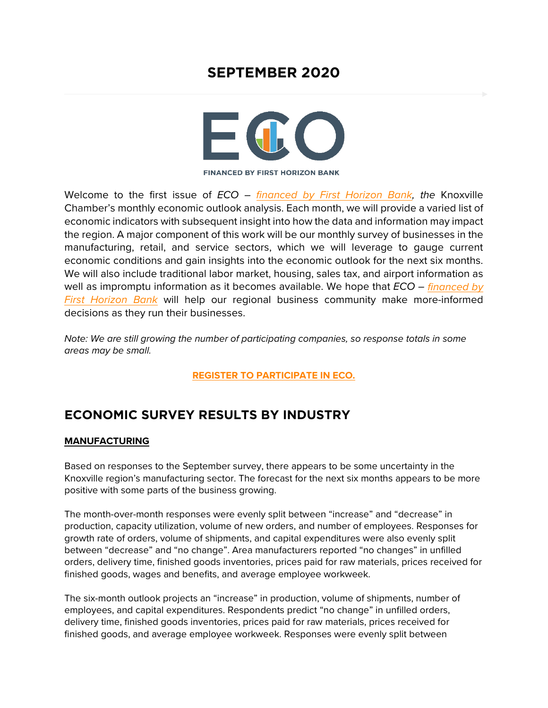# **SEPTEMBER 2020**



**FINANCED BY FIRST HORIZON BANK** 

Welcome to the first issue of *ECO – [financed by First Horizon Bank,](https://www.firsthorizon.com/) the* Knoxville Chamber's monthly economic outlook analysis. Each month, we will provide a varied list of economic indicators with subsequent insight into how the data and information may impact the region. A major component of this work will be our monthly survey of businesses in the manufacturing, retail, and service sectors, which we will leverage to gauge current economic conditions and gain insights into the economic outlook for the next six months. We will also include traditional labor market, housing, sales tax, and airport information as well as impromptu information as it becomes available. We hope that *ECO – [financed by](https://www.firsthorizon.com/)  [First Horizon Bank](https://www.firsthorizon.com/)* will help our regional business community make more-informed decisions as they run their businesses.

*Note: We are still growing the number of participating companies, so response totals in some areas may be small.*

**[REGISTER TO PARTICIPATE IN ECO.](https://www.knoxvillechamber.com/economic-outlook-survey-registration/)**

# **ECONOMIC SURVEY RESULTS BY INDUSTRY**

#### **MANUFACTURING**

Based on responses to the September survey, there appears to be some uncertainty in the Knoxville region's manufacturing sector. The forecast for the next six months appears to be more positive with some parts of the business growing.

The month-over-month responses were evenly split between "increase" and "decrease" in production, capacity utilization, volume of new orders, and number of employees. Responses for growth rate of orders, volume of shipments, and capital expenditures were also evenly split between "decrease" and "no change". Area manufacturers reported "no changes" in unfilled orders, delivery time, finished goods inventories, prices paid for raw materials, prices received for finished goods, wages and benefits, and average employee workweek.

The six-month outlook projects an "increase" in production, volume of shipments, number of employees, and capital expenditures. Respondents predict "no change" in unfilled orders, delivery time, finished goods inventories, prices paid for raw materials, prices received for finished goods, and average employee workweek. Responses were evenly split between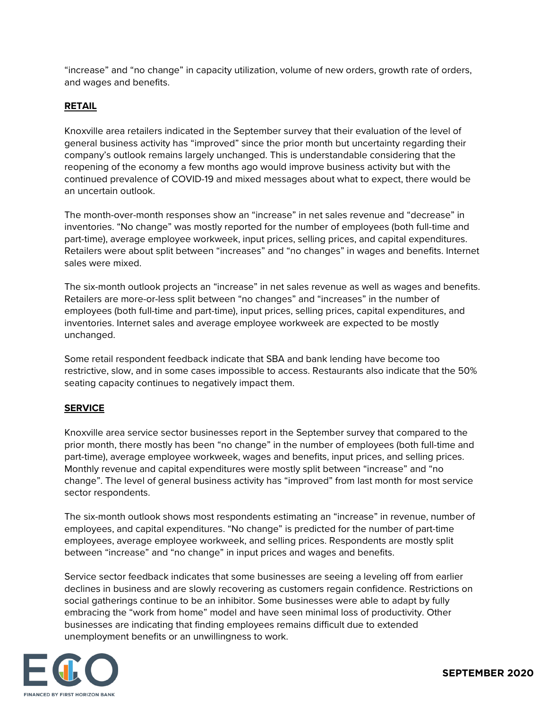"increase" and "no change" in capacity utilization, volume of new orders, growth rate of orders, and wages and benefits.

#### **RETAIL**

Knoxville area retailers indicated in the September survey that their evaluation of the level of general business activity has "improved" since the prior month but uncertainty regarding their company's outlook remains largely unchanged. This is understandable considering that the reopening of the economy a few months ago would improve business activity but with the continued prevalence of COVID-19 and mixed messages about what to expect, there would be an uncertain outlook.

The month-over-month responses show an "increase" in net sales revenue and "decrease" in inventories. "No change" was mostly reported for the number of employees (both full-time and part-time), average employee workweek, input prices, selling prices, and capital expenditures. Retailers were about split between "increases" and "no changes" in wages and benefits. Internet sales were mixed.

The six-month outlook projects an "increase" in net sales revenue as well as wages and benefits. Retailers are more-or-less split between "no changes" and "increases" in the number of employees (both full-time and part-time), input prices, selling prices, capital expenditures, and inventories. Internet sales and average employee workweek are expected to be mostly unchanged.

Some retail respondent feedback indicate that SBA and bank lending have become too restrictive, slow, and in some cases impossible to access. Restaurants also indicate that the 50% seating capacity continues to negatively impact them.

#### **SERVICE**

Knoxville area service sector businesses report in the September survey that compared to the prior month, there mostly has been "no change" in the number of employees (both full-time and part-time), average employee workweek, wages and benefits, input prices, and selling prices. Monthly revenue and capital expenditures were mostly split between "increase" and "no change". The level of general business activity has "improved" from last month for most service sector respondents.

The six-month outlook shows most respondents estimating an "increase" in revenue, number of employees, and capital expenditures. "No change" is predicted for the number of part-time employees, average employee workweek, and selling prices. Respondents are mostly split between "increase" and "no change" in input prices and wages and benefits.

Service sector feedback indicates that some businesses are seeing a leveling off from earlier declines in business and are slowly recovering as customers regain confidence. Restrictions on social gatherings continue to be an inhibitor. Some businesses were able to adapt by fully embracing the "work from home" model and have seen minimal loss of productivity. Other businesses are indicating that finding employees remains difficult due to extended unemployment benefits or an unwillingness to work.

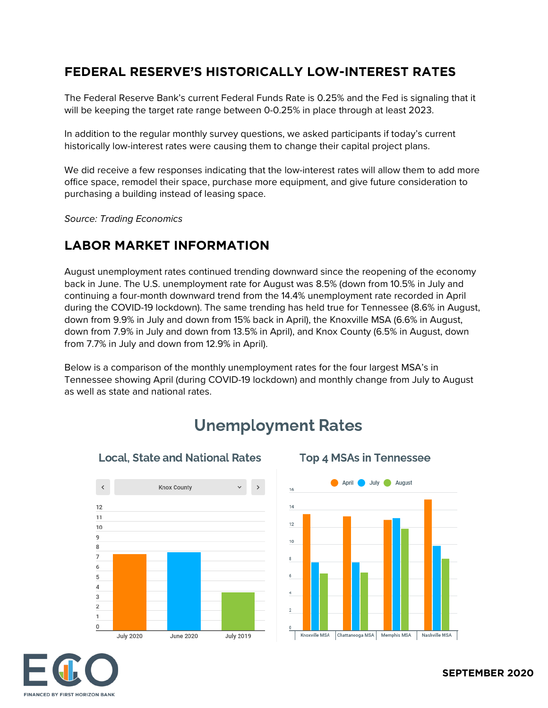#### **FEDERAL RESERVE'S HISTORICALLY LOW-INTEREST RATES**

The Federal Reserve Bank's current Federal Funds Rate is 0.25% and the Fed is signaling that it will be keeping the target rate range between 0-0.25% in place through at least 2023.

In addition to the regular monthly survey questions, we asked participants if today's current historically low-interest rates were causing them to change their capital project plans.

We did receive a few responses indicating that the low-interest rates will allow them to add more office space, remodel their space, purchase more equipment, and give future consideration to purchasing a building instead of leasing space.

*Source: Trading Economics*

#### **LABOR MARKET INFORMATION**

August unemployment rates continued trending downward since the reopening of the economy back in June. The U.S. unemployment rate for August was 8.5% (down from 10.5% in July and continuing a four-month downward trend from the 14.4% unemployment rate recorded in April during the COVID-19 lockdown). The same trending has held true for Tennessee (8.6% in August, down from 9.9% in July and down from 15% back in April), the Knoxville MSA (6.6% in August, down from 7.9% in July and down from 13.5% in April), and Knox County (6.5% in August, down from 7.7% in July and down from 12.9% in April).

Below is a comparison of the monthly unemployment rates for the four largest MSA's in Tennessee showing April (during COVID-19 lockdown) and monthly change from July to August as well as state and national rates.



# **Unemployment Rates**



**Top 4 MSAs in Tennessee** 

#### **Local, State and National Rates**

# **FINANCED BY FIRST HORIZON BANK**

#### **SEPTEMBER 2020**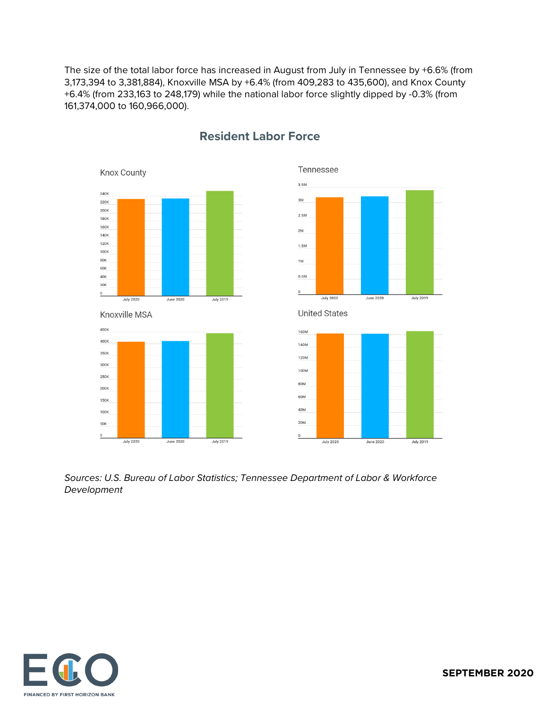The size of the total labor force has increased in August from July in Tennessee by +6.6% (from 3,173,394 to 3,381,884), Knoxville MSA by +6.4% (from 409,283 to 435,600), and Knox County +6.4% (from 233,163 to 248,179) while the national labor force slightly dipped by -0.3% (from 161,374,000 to 160,966,000).









#### **Resident Labor Force**

**United States** 



*Sources: U.S. Bureau of Labor Statistics; Tennessee Department of Labor & Workforce Development*

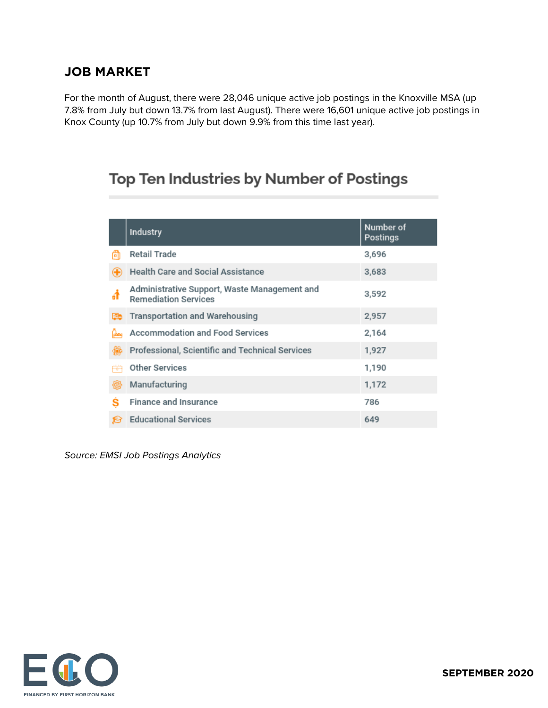#### **JOB MARKET**

For the month of August, there were 28,046 unique active job postings in the Knoxville MSA (up 7.8% from July but down 13.7% from last August). There were 16,601 unique active job postings in Knox County (up 10.7% from July but down 9.9% from this time last year).

# Top Ten Industries by Number of Postings

|    | <b>Industry</b>                                                             | Number of<br><b>Postings</b> |
|----|-----------------------------------------------------------------------------|------------------------------|
| G  | <b>Retail Trade</b>                                                         | 3,696                        |
| Œ  | Health Care and Social Assistance                                           | 3,683                        |
|    | Administrative Support, Waste Management and<br><b>Remediation Services</b> | 3,592                        |
| Eb | <b>Transportation and Warehousing</b>                                       | 2,957                        |
|    | Accommodation and Food Services                                             | 2,164                        |
|    | Professional, Scientific and Technical Services                             | 1,927                        |
| 应  | <b>Other Services</b>                                                       | 1,190                        |
| 倔  | Manufacturing                                                               | 1,172                        |
| s  | <b>Finance and Insurance</b>                                                | 786                          |
| R  | <b>Educational Services</b>                                                 | 649                          |

*Source: EMSI Job Postings Analytics*

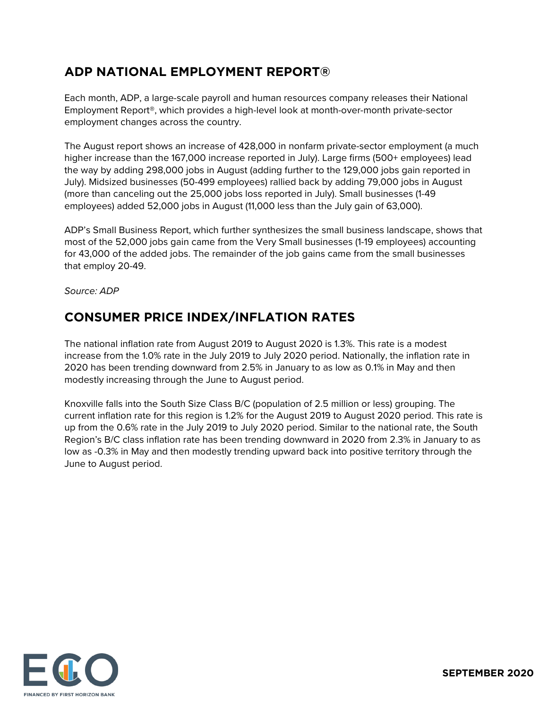## **ADP NATIONAL EMPLOYMENT REPORT®**

Each month, ADP, a large-scale payroll and human resources company releases their National Employment Report®, which provides a high-level look at month-over-month private-sector employment changes across the country.

The August report shows an increase of 428,000 in nonfarm private-sector employment (a much higher increase than the 167,000 increase reported in July). Large firms (500+ employees) lead the way by adding 298,000 jobs in August (adding further to the 129,000 jobs gain reported in July). Midsized businesses (50-499 employees) rallied back by adding 79,000 jobs in August (more than canceling out the 25,000 jobs loss reported in July). Small businesses (1-49 employees) added 52,000 jobs in August (11,000 less than the July gain of 63,000).

ADP's Small Business Report, which further synthesizes the small business landscape, shows that most of the 52,000 jobs gain came from the Very Small businesses (1-19 employees) accounting for 43,000 of the added jobs. The remainder of the job gains came from the small businesses that employ 20-49.

*Source: ADP*

#### **CONSUMER PRICE INDEX/INFLATION RATES**

The national inflation rate from August 2019 to August 2020 is 1.3%. This rate is a modest increase from the 1.0% rate in the July 2019 to July 2020 period. Nationally, the inflation rate in 2020 has been trending downward from 2.5% in January to as low as 0.1% in May and then modestly increasing through the June to August period.

Knoxville falls into the South Size Class B/C (population of 2.5 million or less) grouping. The current inflation rate for this region is 1.2% for the August 2019 to August 2020 period. This rate is up from the 0.6% rate in the July 2019 to July 2020 period. Similar to the national rate, the South Region's B/C class inflation rate has been trending downward in 2020 from 2.3% in January to as low as -0.3% in May and then modestly trending upward back into positive territory through the June to August period.

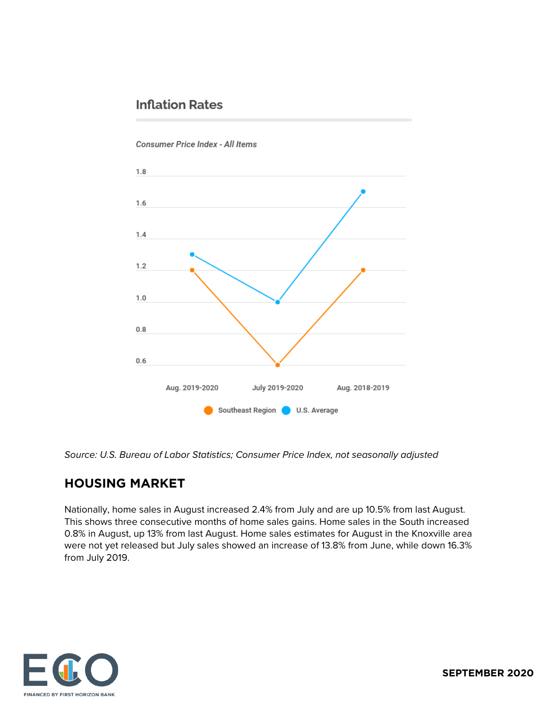# **Inflation Rates**

# $1.8$ 1.6  $1.4$  $1.2$  $1.0$  $0.8$  $0.6$ Aug. 2019-2020 July 2019-2020 Aug. 2018-2019 Southeast Region U.S. Average

Consumer Price Index - All Items

*Source: U.S. Bureau of Labor Statistics; Consumer Price Index, not seasonally adjusted*

# **HOUSING MARKET**

Nationally, home sales in August increased 2.4% from July and are up 10.5% from last August. This shows three consecutive months of home sales gains. Home sales in the South increased 0.8% in August, up 13% from last August. Home sales estimates for August in the Knoxville area were not yet released but July sales showed an increase of 13.8% from June, while down 16.3% from July 2019.

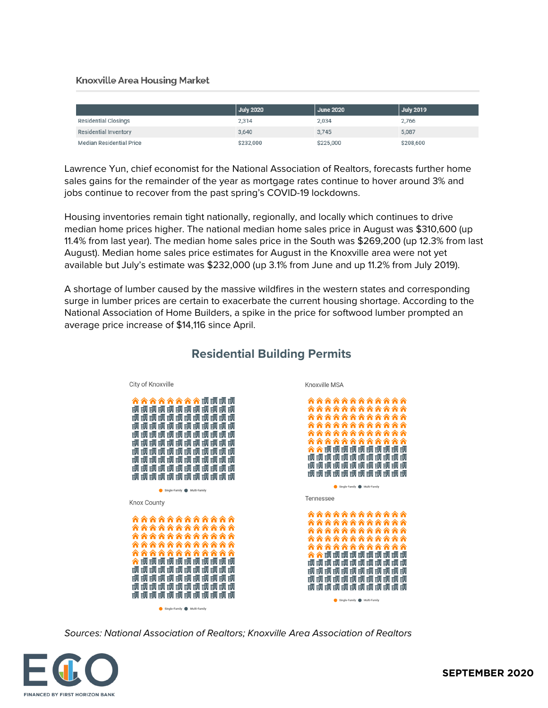#### **Knoxville Area Housing Market**

|                                 | <b>July 2020</b> | <b>June 2020</b> | July 2019 |
|---------------------------------|------------------|------------------|-----------|
| <b>Residential Closings</b>     | 2,314            | 2,034            | 2,766     |
| <b>Residential Inventory</b>    | 3,640            | 3,745            | 5,087     |
| <b>Median Residential Price</b> | \$232,000        | \$225,000        | \$208,600 |

Lawrence Yun, chief economist for the National Association of Realtors, forecasts further home sales gains for the remainder of the year as mortgage rates continue to hover around 3% and jobs continue to recover from the past spring's COVID-19 lockdowns.

Housing inventories remain tight nationally, regionally, and locally which continues to drive median home prices higher. The national median home sales price in August was \$310,600 (up 11.4% from last year). The median home sales price in the South was \$269,200 (up 12.3% from last August). Median home sales price estimates for August in the Knoxville area were not yet available but July's estimate was \$232,000 (up 3.1% from June and up 11.2% from July 2019).

A shortage of lumber caused by the massive wildfires in the western states and corresponding surge in lumber prices are certain to exacerbate the current housing shortage. According to the National Association of Home Builders, a spike in the price for softwood lumber prompted an average price increase of \$14,116 since April.



#### **Residential Building Permits**

*Sources: National Association of Realtors; Knoxville Area Association of Realtors*

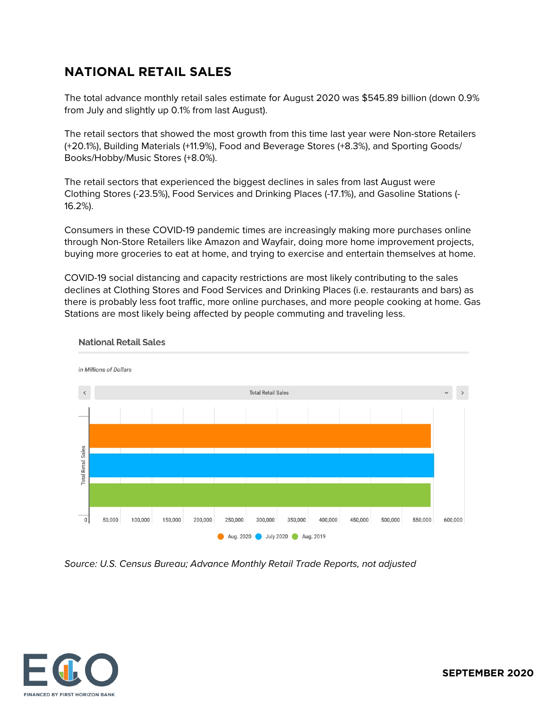#### **NATIONAL RETAIL SALES**

The total advance monthly retail sales estimate for August 2020 was \$545.89 billion (down 0.9% from July and slightly up 0.1% from last August).

The retail sectors that showed the most growth from this time last year were Non-store Retailers (+20.1%), Building Materials (+11.9%), Food and Beverage Stores (+8.3%), and Sporting Goods/ Books/Hobby/Music Stores (+8.0%).

The retail sectors that experienced the biggest declines in sales from last August were Clothing Stores (-23.5%), Food Services and Drinking Places (-17.1%), and Gasoline Stations (- 16.2%).

Consumers in these COVID-19 pandemic times are increasingly making more purchases online through Non-Store Retailers like Amazon and Wayfair, doing more home improvement projects, buying more groceries to eat at home, and trying to exercise and entertain themselves at home.

COVID-19 social distancing and capacity restrictions are most likely contributing to the sales declines at Clothing Stores and Food Services and Drinking Places (i.e. restaurants and bars) as there is probably less foot traffic, more online purchases, and more people cooking at home. Gas Stations are most likely being affected by people commuting and traveling less.



#### **National Retail Sales**

*Source: U.S. Census Bureau; Advance Monthly Retail Trade Reports, not adjusted*



**SEPTEMBER 2020**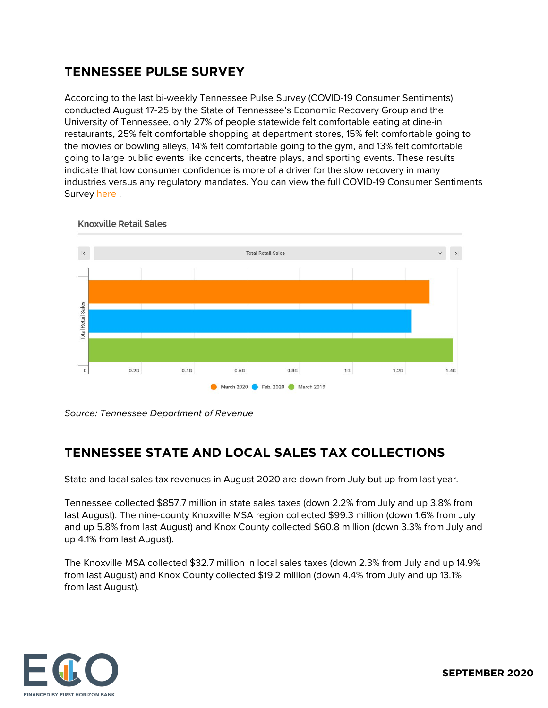# **TENNESSEE PULSE SURVEY**

According to the last bi-weekly Tennessee Pulse Survey (COVID-19 Consumer Sentiments) conducted August 17-25 by the State of Tennessee's Economic Recovery Group and the University of Tennessee, only 27% of people statewide felt comfortable eating at dine-in restaurants, 25% felt comfortable shopping at department stores, 15% felt comfortable going to the movies or bowling alleys, 14% felt comfortable going to the gym, and 13% felt comfortable going to large public events like concerts, theatre plays, and sporting events. These results indicate that low consumer confidence is more of a driver for the slow recovery in many industries versus any regulatory mandates. You can view the full COVID-19 Consumer Sentiments Survey [here](http://core19.utk.edu/tn-pulse-wave-5) .



**Knoxville Retail Sales** 

*Source: Tennessee Department of Revenue*

# **TENNESSEE STATE AND LOCAL SALES TAX COLLECTIONS**

State and local sales tax revenues in August 2020 are down from July but up from last year.

Tennessee collected \$857.7 million in state sales taxes (down 2.2% from July and up 3.8% from last August). The nine-county Knoxville MSA region collected \$99.3 million (down 1.6% from July and up 5.8% from last August) and Knox County collected \$60.8 million (down 3.3% from July and up 4.1% from last August).

The Knoxville MSA collected \$32.7 million in local sales taxes (down 2.3% from July and up 14.9% from last August) and Knox County collected \$19.2 million (down 4.4% from July and up 13.1% from last August).

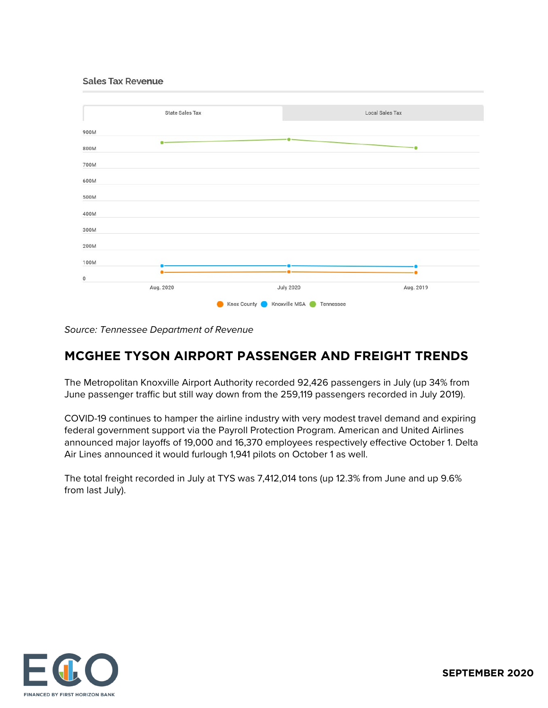**Sales Tax Revenue** 



*Source: Tennessee Department of Revenue*

# **MCGHEE TYSON AIRPORT PASSENGER AND FREIGHT TRENDS**

The Metropolitan Knoxville Airport Authority recorded 92,426 passengers in July (up 34% from June passenger traffic but still way down from the 259,119 passengers recorded in July 2019).

COVID-19 continues to hamper the airline industry with very modest travel demand and expiring federal government support via the Payroll Protection Program. American and United Airlines announced major layoffs of 19,000 and 16,370 employees respectively effective October 1. Delta Air Lines announced it would furlough 1,941 pilots on October 1 as well.

The total freight recorded in July at TYS was 7,412,014 tons (up 12.3% from June and up 9.6% from last July).